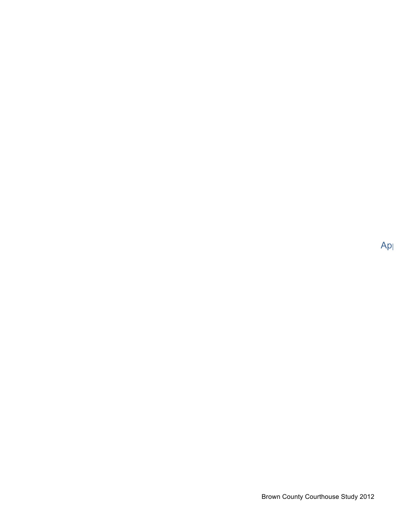$Ap<sub>l</sub>$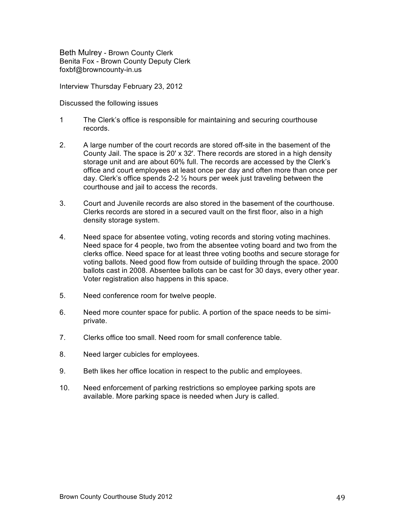Beth Mulrey - Brown County Clerk Benita Fox - Brown County Deputy Clerk foxbf@browncounty-in.us

Interview Thursday February 23, 2012

Discussed the following issues

- 1 The Clerk's office is responsible for maintaining and securing courthouse records.
- 2. A large number of the court records are stored off-site in the basement of the County Jail. The space is 20' x 32'. There records are stored in a high density storage unit and are about 60% full. The records are accessed by the Clerk's office and court employees at least once per day and often more than once per day. Clerk's office spends 2-2 ½ hours per week just traveling between the courthouse and jail to access the records.
- 3. Court and Juvenile records are also stored in the basement of the courthouse. Clerks records are stored in a secured vault on the first floor, also in a high density storage system.
- 4. Need space for absentee voting, voting records and storing voting machines. Need space for 4 people, two from the absentee voting board and two from the clerks office. Need space for at least three voting booths and secure storage for voting ballots. Need good flow from outside of building through the space. 2000 ballots cast in 2008. Absentee ballots can be cast for 30 days, every other year. Voter registration also happens in this space.
- 5. Need conference room for twelve people.
- 6. Need more counter space for public. A portion of the space needs to be simiprivate.
- 7. Clerks office too small. Need room for small conference table.
- 8. Need larger cubicles for employees.
- 9. Beth likes her office location in respect to the public and employees.
- 10. Need enforcement of parking restrictions so employee parking spots are available. More parking space is needed when Jury is called.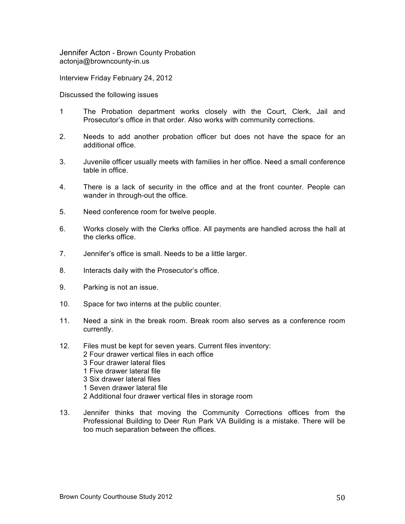Jennifer Acton - Brown County Probation actonja@browncounty-in.us

Interview Friday February 24, 2012

Discussed the following issues

- 1 The Probation department works closely with the Court, Clerk, Jail and Prosecutor's office in that order. Also works with community corrections.
- 2. Needs to add another probation officer but does not have the space for an additional office.
- 3. Juvenile officer usually meets with families in her office. Need a small conference table in office.
- 4. There is a lack of security in the office and at the front counter. People can wander in through-out the office.
- 5. Need conference room for twelve people.
- 6. Works closely with the Clerks office. All payments are handled across the hall at the clerks office.
- 7. Jennifer's office is small. Needs to be a little larger.
- 8. Interacts daily with the Prosecutor's office.
- 9. Parking is not an issue.
- 10. Space for two interns at the public counter.
- 11. Need a sink in the break room. Break room also serves as a conference room currently.
- 12. Files must be kept for seven years. Current files inventory: 2 Four drawer vertical files in each office 3 Four drawer lateral files 1 Five drawer lateral file 3 Six drawer lateral files 1 Seven drawer lateral file 2 Additional four drawer vertical files in storage room
- 13. Jennifer thinks that moving the Community Corrections offices from the Professional Building to Deer Run Park VA Building is a mistake. There will be too much separation between the offices.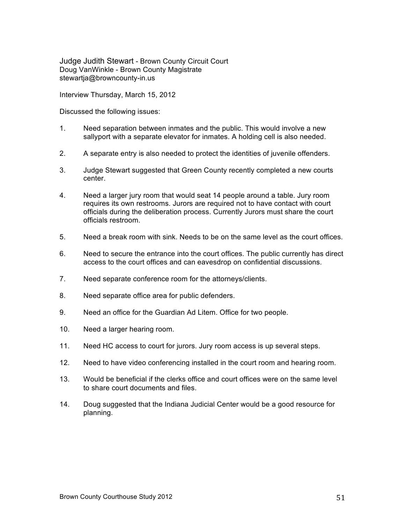Judge Judith Stewart - Brown County Circuit Court Doug VanWinkle - Brown County Magistrate stewartja@browncounty-in.us

Interview Thursday, March 15, 2012

Discussed the following issues:

- 1. Need separation between inmates and the public. This would involve a new sallyport with a separate elevator for inmates. A holding cell is also needed.
- 2. A separate entry is also needed to protect the identities of juvenile offenders.
- 3. Judge Stewart suggested that Green County recently completed a new courts center.
- 4. Need a larger jury room that would seat 14 people around a table. Jury room requires its own restrooms. Jurors are required not to have contact with court officials during the deliberation process. Currently Jurors must share the court officials restroom.
- 5. Need a break room with sink. Needs to be on the same level as the court offices.
- 6. Need to secure the entrance into the court offices. The public currently has direct access to the court offices and can eavesdrop on confidential discussions.
- 7. Need separate conference room for the attorneys/clients.
- 8. Need separate office area for public defenders.
- 9. Need an office for the Guardian Ad Litem. Office for two people.
- 10. Need a larger hearing room.
- 11. Need HC access to court for jurors. Jury room access is up several steps.
- 12. Need to have video conferencing installed in the court room and hearing room.
- 13. Would be beneficial if the clerks office and court offices were on the same level to share court documents and files.
- 14. Doug suggested that the Indiana Judicial Center would be a good resource for planning.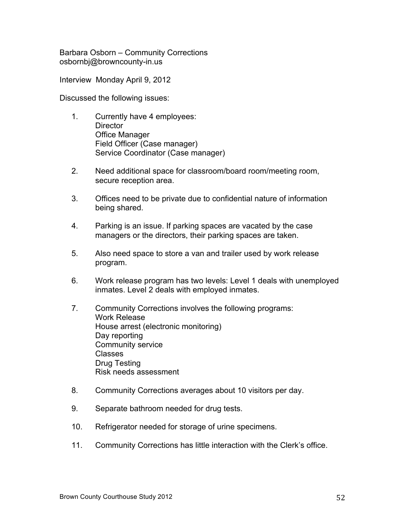Barbara Osborn – Community Corrections osbornbj@browncounty-in.us

Interview Monday April 9, 2012

Discussed the following issues:

- 1. Currently have 4 employees: **Director** Office Manager Field Officer (Case manager) Service Coordinator (Case manager)
- 2. Need additional space for classroom/board room/meeting room, secure reception area.
- 3. Offices need to be private due to confidential nature of information being shared.
- 4. Parking is an issue. If parking spaces are vacated by the case managers or the directors, their parking spaces are taken.
- 5. Also need space to store a van and trailer used by work release program.
- 6. Work release program has two levels: Level 1 deals with unemployed inmates. Level 2 deals with employed inmates.
- 7. Community Corrections involves the following programs: Work Release House arrest (electronic monitoring) Day reporting Community service Classes Drug Testing Risk needs assessment
- 8. Community Corrections averages about 10 visitors per day.
- 9. Separate bathroom needed for drug tests.
- 10. Refrigerator needed for storage of urine specimens.
- 11. Community Corrections has little interaction with the Clerk's office.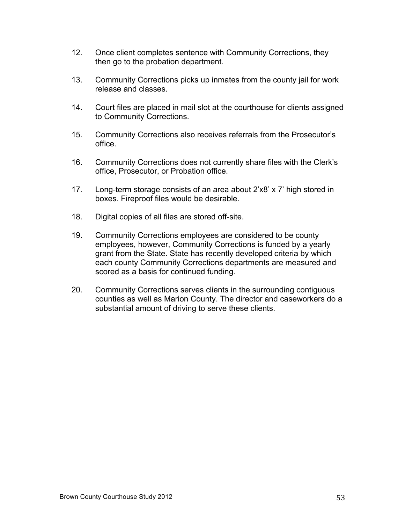- 12. Once client completes sentence with Community Corrections, they then go to the probation department.
- 13. Community Corrections picks up inmates from the county jail for work release and classes.
- 14. Court files are placed in mail slot at the courthouse for clients assigned to Community Corrections.
- 15. Community Corrections also receives referrals from the Prosecutor's office.
- 16. Community Corrections does not currently share files with the Clerk's office, Prosecutor, or Probation office.
- 17. Long-term storage consists of an area about 2'x8' x 7' high stored in boxes. Fireproof files would be desirable.
- 18. Digital copies of all files are stored off-site.
- 19. Community Corrections employees are considered to be county employees, however, Community Corrections is funded by a yearly grant from the State. State has recently developed criteria by which each county Community Corrections departments are measured and scored as a basis for continued funding.
- 20. Community Corrections serves clients in the surrounding contiguous counties as well as Marion County. The director and caseworkers do a substantial amount of driving to serve these clients.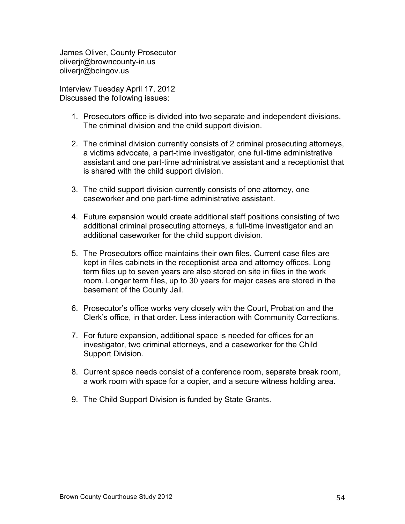James Oliver, County Prosecutor oliverjr@browncounty-in.us oliverjr@bcingov.us

Interview Tuesday April 17, 2012 Discussed the following issues:

- 1. Prosecutors office is divided into two separate and independent divisions. The criminal division and the child support division.
- 2. The criminal division currently consists of 2 criminal prosecuting attorneys, a victims advocate, a part-time investigator, one full-time administrative assistant and one part-time administrative assistant and a receptionist that is shared with the child support division.
- 3. The child support division currently consists of one attorney, one caseworker and one part-time administrative assistant.
- 4. Future expansion would create additional staff positions consisting of two additional criminal prosecuting attorneys, a full-time investigator and an additional caseworker for the child support division.
- 5. The Prosecutors office maintains their own files. Current case files are kept in files cabinets in the receptionist area and attorney offices. Long term files up to seven years are also stored on site in files in the work room. Longer term files, up to 30 years for major cases are stored in the basement of the County Jail.
- 6. Prosecutor's office works very closely with the Court, Probation and the Clerk's office, in that order. Less interaction with Community Corrections.
- 7. For future expansion, additional space is needed for offices for an investigator, two criminal attorneys, and a caseworker for the Child Support Division.
- 8. Current space needs consist of a conference room, separate break room, a work room with space for a copier, and a secure witness holding area.
- 9. The Child Support Division is funded by State Grants.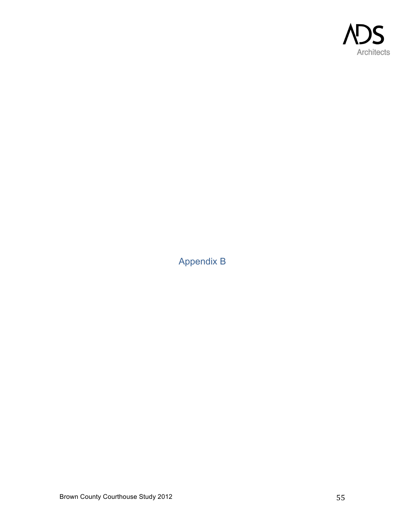

Appendix B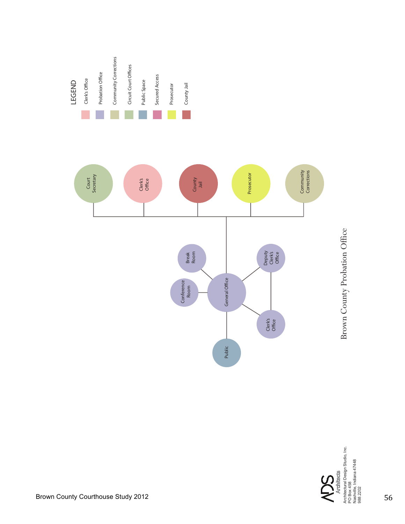

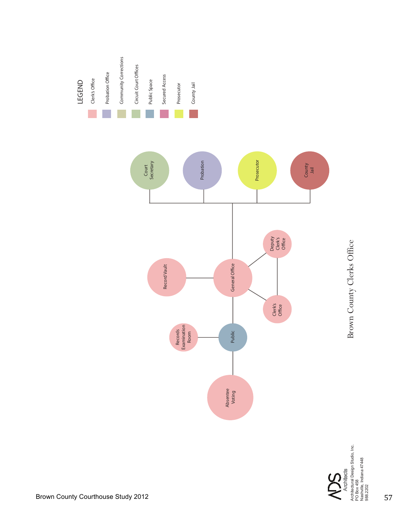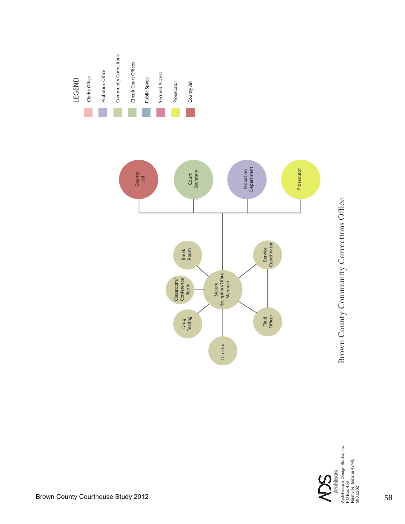

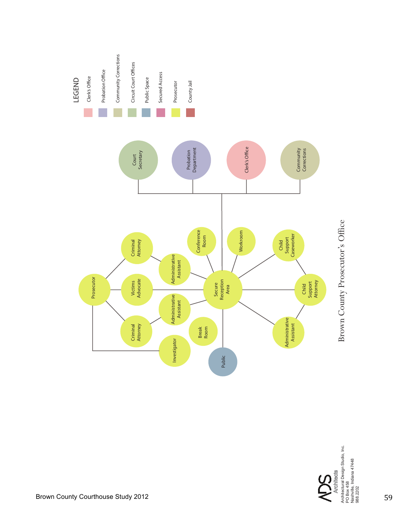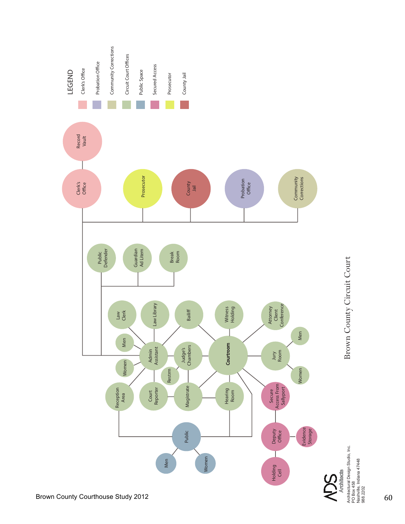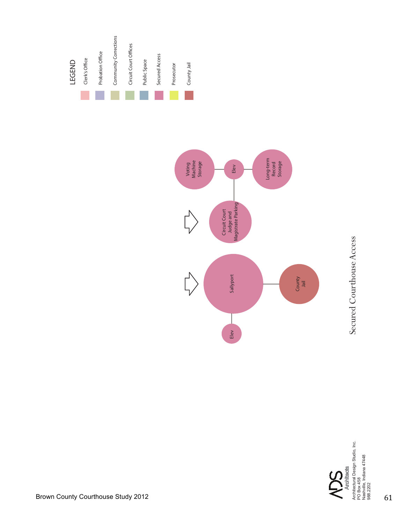